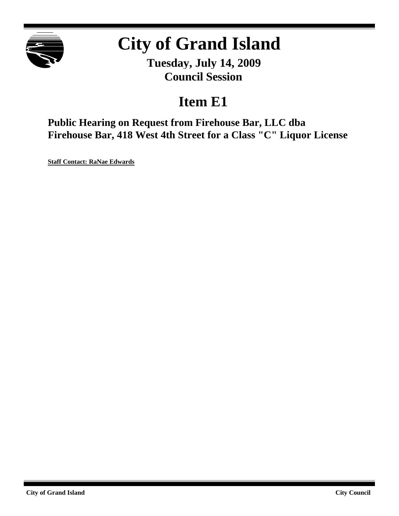

# **City of Grand Island**

**Tuesday, July 14, 2009 Council Session**

## **Item E1**

**Public Hearing on Request from Firehouse Bar, LLC dba Firehouse Bar, 418 West 4th Street for a Class "C" Liquor License**

**Staff Contact: RaNae Edwards**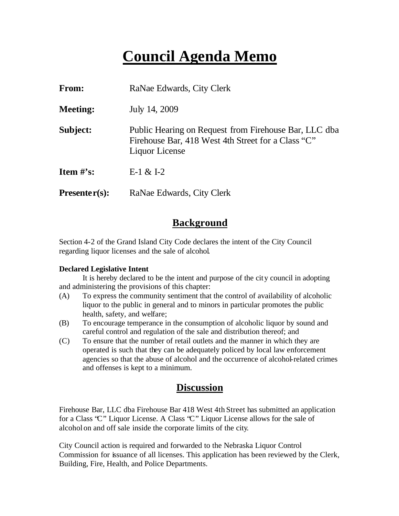## **Council Agenda Memo**

| From:                          | RaNae Edwards, City Clerk                                                                                                     |
|--------------------------------|-------------------------------------------------------------------------------------------------------------------------------|
| <b>Meeting:</b>                | July 14, 2009                                                                                                                 |
| Subject:                       | Public Hearing on Request from Firehouse Bar, LLC dba<br>Firehouse Bar, 418 West 4th Street for a Class "C"<br>Liquor License |
| <b>Item <math>\#</math>'s:</b> | $E-1 & 1-2$                                                                                                                   |
| $Presenter(s):$                | RaNae Edwards, City Clerk                                                                                                     |

## **Background**

Section 4-2 of the Grand Island City Code declares the intent of the City Council regarding liquor licenses and the sale of alcohol.

#### **Declared Legislative Intent**

It is hereby declared to be the intent and purpose of the city council in adopting and administering the provisions of this chapter:

- (A) To express the community sentiment that the control of availability of alcoholic liquor to the public in general and to minors in particular promotes the public health, safety, and welfare;
- (B) To encourage temperance in the consumption of alcoholic liquor by sound and careful control and regulation of the sale and distribution thereof; and
- (C) To ensure that the number of retail outlets and the manner in which they are operated is such that they can be adequately policed by local law enforcement agencies so that the abuse of alcohol and the occurrence of alcohol-related crimes and offenses is kept to a minimum.

### **Discussion**

Firehouse Bar, LLC dba Firehouse Bar 418 West 4th Street has submitted an application for a Class "C" Liquor License. A Class "C" Liquor License allows for the sale of alcohol on and off sale inside the corporate limits of the city.

City Council action is required and forwarded to the Nebraska Liquor Control Commission for issuance of all licenses. This application has been reviewed by the Clerk, Building, Fire, Health, and Police Departments.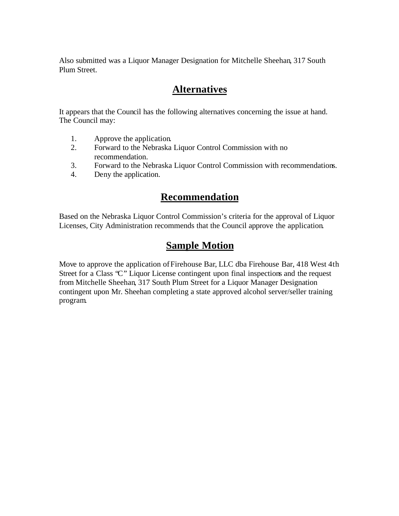Also submitted was a Liquor Manager Designation for Mitchelle Sheehan, 317 South Plum Street.

## **Alternatives**

It appears that the Council has the following alternatives concerning the issue at hand. The Council may:

- 1. Approve the application.
- 2. Forward to the Nebraska Liquor Control Commission with no recommendation.
- 3. Forward to the Nebraska Liquor Control Commission with recommendations.
- 4. Deny the application.

## **Recommendation**

Based on the Nebraska Liquor Control Commission's criteria for the approval of Liquor Licenses, City Administration recommends that the Council approve the application.

## **Sample Motion**

Move to approve the application of Firehouse Bar, LLC dba Firehouse Bar, 418 West 4th Street for a Class "C" Liquor License contingent upon final inspections and the request from Mitchelle Sheehan, 317 South Plum Street for a Liquor Manager Designation contingent upon Mr. Sheehan completing a state approved alcohol server/seller training program.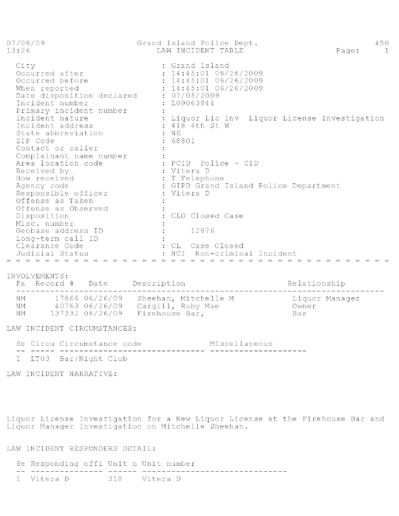| 07/06/09<br>13:26                                                                                                                                        | Grand Island Police Dept.<br>LAW INCIDENT TABLE                                                                                                                           | 450<br>Page:<br>$\overline{1}$ |
|----------------------------------------------------------------------------------------------------------------------------------------------------------|---------------------------------------------------------------------------------------------------------------------------------------------------------------------------|--------------------------------|
| City<br>Occurred after<br>Occurred before<br>When reported<br>Date disposition declared<br>Incident number<br>Primary incident number<br>Incident nature | : Grand Island<br>: 14:45:01 06/26/2009<br>: 14:45:01 06/26/2009<br>: 14:45:01 06/26/2009<br>: 07/05/2009<br>: L09063944<br>: Liquor Lic Inv Liquor License Investigation |                                |
| Incident address<br>State abbreviation<br>ZIP Code<br>Contact or caller<br>Complainant name number                                                       | : 418 4th St W<br>$:$ NE<br>: 68801                                                                                                                                       |                                |
| Area location code<br>Received by<br>How received<br>Agency code<br>Responsible officer<br>Offense as Taken<br>Offense as Observed                       | : PCID Police - CID<br>: Vitera D<br>: T Telephone<br>: GIPD Grand Island Police Department<br>: Vitera D                                                                 |                                |
| Disposition<br>Misc. number                                                                                                                              | CLO Closed Case                                                                                                                                                           |                                |
| Geobase address ID<br>Long-term call ID<br>Clearance Code<br>Judicial Status<br>.                                                                        | 12876<br>CL Case Closed<br>NCT.<br>Non-criminal Incident                                                                                                                  |                                |

#### INVOLVEMENTS:

|                | Px Record # Date |                                   | Description                                                                | Relationship                   |
|----------------|------------------|-----------------------------------|----------------------------------------------------------------------------|--------------------------------|
| NM<br>NM<br>NM |                  | 40763 06/26/09<br>137332 06/26/09 | 17866 06/26/09 Sheehan, Mitchelle M<br>Cargill, Ruby Mae<br>Firehouse Bar, | Liquor Manager<br>Owner<br>Bar |

#### LAW INCIDENT CIRCUMSTANCES:

|    | Se Circu Circumstance code |                                                                   | Miscellaneous |
|----|----------------------------|-------------------------------------------------------------------|---------------|
| -- |                            | <u> delega delegazione dell'algebra dell'algebra dell'algebra</u> |               |
|    | 1 TMAQ DI / 11 1 21 1      |                                                                   |               |

1 LT03 Bar/Night Club

LAW INCIDENT NARRATIVE:

Liquor License Investigation for a New Liquor License at the Firehouse Bar and<br>Liquor Manager Investigation on Mitchelle Sheehan.

#### LAW INCIDENT RESPONDERS DETAIL:

| Se Responding offi Unit n Unit number |  |  |  |  |  |
|---------------------------------------|--|--|--|--|--|
|                                       |  |  |  |  |  |
| 1 Vitera D. 318 - Vitera D            |  |  |  |  |  |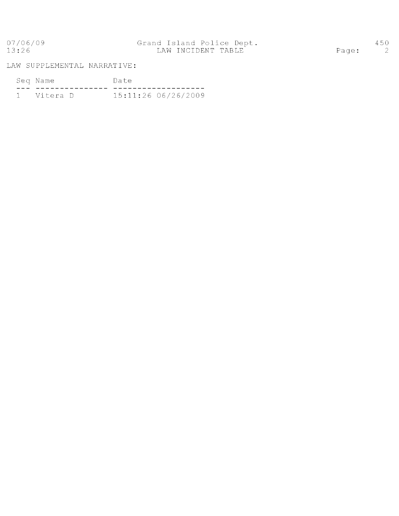07/06/09<br>13:26

LAW SUPPLEMENTAL NARRATIVE:

| Seq Name     | Date |                     |  |  |  |
|--------------|------|---------------------|--|--|--|
|              |      |                     |  |  |  |
| 1 - Vitera D |      | 15:11:26 06/26/2009 |  |  |  |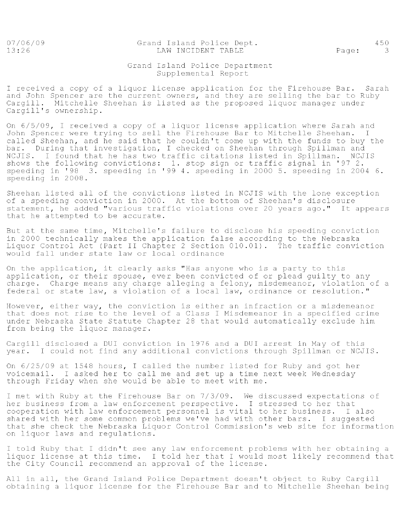07/06/09  $13:26$ 

Grand Island Police Dept. LAW INCIDENT TABLE

Page:

#### Grand Island Police Department Supplemental Report

I received a copy of a liquor license application for the Firehouse Bar. Sarah and John Spencer are the current owners, and they are selling the bar to Ruby Cargill. Mitchelle Sheehan is listed as the proposed liquor manager under Cargill's ownership.

On 6/5/09, I received a copy of a liquor license application where Sarah and John Spencer were trying to sell the Firehouse Bar to Mitchelle Sheehan. I called Sheehan, and he said that he couldn't come up with the funds to buy the<br>bar. During that investigation, I checked on Sheehan through Spillman and NCJIS. I found that he has two traffic citations listed in Spillman. NCJIS shows the following convictions: 1. stop sign or traffic signal in '97 2. speeding in '98 3. speeding in '99 4. speeding in 2000 5. speeding in 2004 6. speeding in 2008.

Sheehan listed all of the convictions listed in NCJIS with the lone exception of a speeding conviction in 2000. At the bottom of Sheehan's disclosure statement, he added "various traffic violations over 20 years ago." It appears that he attempted to be accurate.

But at the same time, Mitchelle's failure to disclose his speeding conviction in 2000 technically makes the application false according to the Nebraska Liquor Control Act (Part II Chapter 2 Section 010.01). The traffic conviction would fall under state law or local ordinance

On the application, it clearly asks "Has anyone who is a party to this application, or their spouse, ever been convicted of or plead guilty to any charge. Charge means any charge alleging a felony, misdemeanor, violation of a federal or state law, a violation of a local law, ordinance or resolution."

However, either way, the conviction is either an infraction or a misdemeanor that does not rise to the level of a Class I Misdemeanor in a specified crime under Nebraska State Statute Chapter 28 that would automatically exclude him from being the liquor manager.

Cargill disclosed a DUI conviction in 1976 and a DUI arrest in May of this year. I could not find any additional convictions through Spillman or NCJIS.

On 6/25/09 at 1548 hours, I called the number listed for Ruby and got her voicemail. I asked her to call me and set up a time next week Wednesday through Friday when she would be able to meet with me.

I met with Ruby at the Firehouse Bar on 7/3/09. We discussed expectations of her business from a law enforcement perspective. I stressed to her that cooperation with law enforcement personnel is vital to her business. I also shared with her some common problems we've had with other bars. I suggested that she check the Nebraska Liquor Control Commission's web site for information on liquor laws and regulations.

I told Ruby that I didn't see any law enforcement problems with her obtaining a liquor license at this time. I told her that I would most likely recommend that the City Council recommend an approval of the license.

All in all, the Grand Island Police Department doesn't object to Ruby Cargill obtaining a liquor license for the Firehouse Bar and to Mitchelle Sheehan being